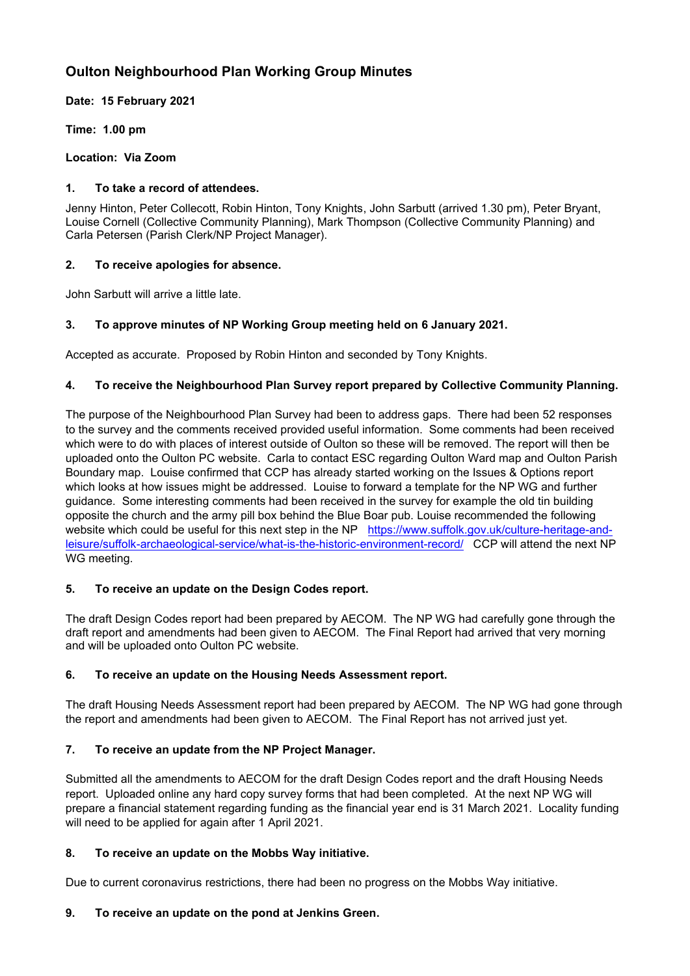# **Oulton Neighbourhood Plan Working Group Minutes**

**Date: 15 February 2021**

**Time: 1.00 pm**

**Location: Via Zoom**

### **1. To take a record of attendees.**

Jenny Hinton, Peter Collecott, Robin Hinton, Tony Knights, John Sarbutt (arrived 1.30 pm), Peter Bryant, Louise Cornell (Collective Community Planning), Mark Thompson (Collective Community Planning) and Carla Petersen (Parish Clerk/NP Project Manager).

## **2. To receive apologies for absence.**

John Sarbutt will arrive a little late.

# **3. To approve minutes of NP Working Group meeting held on 6 January 2021.**

Accepted as accurate. Proposed by Robin Hinton and seconded by Tony Knights.

## **4. To receive the Neighbourhood Plan Survey report prepared by Collective Community Planning.**

The purpose of the Neighbourhood Plan Survey had been to address gaps. There had been 52 responses to the survey and the comments received provided useful information. Some comments had been received which were to do with places of interest outside of Oulton so these will be removed. The report will then be uploaded onto the Oulton PC website. Carla to contact ESC regarding Oulton Ward map and Oulton Parish Boundary map. Louise confirmed that CCP has already started working on the Issues & Options report which looks at how issues might be addressed. Louise to forward a template for the NP WG and further guidance. Some interesting comments had been received in the survey for example the old tin building opposite the church and the army pill box behind the Blue Boar pub. Louise recommended the following website which could be useful for this next step in the NP [https://www.suffolk.gov.uk/culture-heritage-and](https://www.suffolk.gov.uk/culture-heritage-and-leisure/suffolk-archaeological-service/what-is-the-historic-environment-record/)[leisure/suffolk-archaeological-service/what-is-the-historic-environment-record/](https://www.suffolk.gov.uk/culture-heritage-and-leisure/suffolk-archaeological-service/what-is-the-historic-environment-record/) CCP will attend the next NP WG meeting.

#### **5. To receive an update on the Design Codes report.**

The draft Design Codes report had been prepared by AECOM. The NP WG had carefully gone through the draft report and amendments had been given to AECOM. The Final Report had arrived that very morning and will be uploaded onto Oulton PC website.

#### **6. To receive an update on the Housing Needs Assessment report.**

The draft Housing Needs Assessment report had been prepared by AECOM. The NP WG had gone through the report and amendments had been given to AECOM. The Final Report has not arrived just yet.

# **7. To receive an update from the NP Project Manager.**

Submitted all the amendments to AECOM for the draft Design Codes report and the draft Housing Needs report. Uploaded online any hard copy survey forms that had been completed. At the next NP WG will prepare a financial statement regarding funding as the financial year end is 31 March 2021. Locality funding will need to be applied for again after 1 April 2021.

#### **8. To receive an update on the Mobbs Way initiative.**

Due to current coronavirus restrictions, there had been no progress on the Mobbs Way initiative.

# **9. To receive an update on the pond at Jenkins Green.**